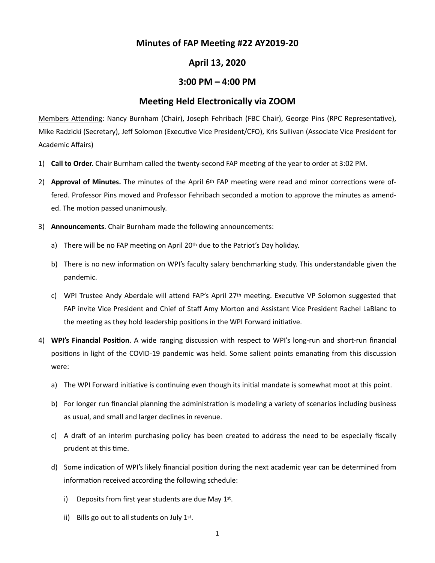## **Minutes of FAP Meeting #22 AY2019-20**

## **April 13, 2020**

## **3:00 PM – 4:00 PM**

## **Meeting Held Electronically via ZOOM**

Members Attending: Nancy Burnham (Chair), Joseph Fehribach (FBC Chair), George Pins (RPC Representative), Mike Radzicki (Secretary), Jeff Solomon (Executive Vice President/CFO), Kris Sullivan (Associate Vice President for Academic Affairs)

- 1) **Call to Order.** Chair Burnham called the twenty-second FAP meeting of the year to order at 3:02 PM.
- 2) **Approval of Minutes.** The minutes of the April 6<sup>th</sup> FAP meeting were read and minor corrections were offered. Professor Pins moved and Professor Fehribach seconded a motion to approve the minutes as amended. The motion passed unanimously.
- 3) **Announcements**. Chair Burnham made the following announcements:
	- a) There will be no FAP meeting on April 20<sup>th</sup> due to the Patriot's Day holiday.
	- b) There is no new information on WPI's faculty salary benchmarking study. This understandable given the pandemic.
	- c) WPI Trustee Andy Aberdale will attend FAP's April 27th meeting. Executive VP Solomon suggested that FAP invite Vice President and Chief of Staff Amy Morton and Assistant Vice President Rachel LaBlanc to the meeting as they hold leadership positions in the WPI Forward initiative.
- 4) **WPI's Financial Position**. A wide ranging discussion with respect to WPI's long-run and short-run financial positions in light of the COVID-19 pandemic was held. Some salient points emanating from this discussion were:
	- a) The WPI Forward initiative is continuing even though its initial mandate is somewhat moot at this point.
	- b) For longer run financial planning the administration is modeling a variety of scenarios including business as usual, and small and larger declines in revenue.
	- c) A draft of an interim purchasing policy has been created to address the need to be especially fiscally prudent at this time.
	- d) Some indication of WPI's likely financial position during the next academic year can be determined from information received according the following schedule:
		- i) Deposits from first year students are due May  $1<sup>st</sup>$ .
		- ii) Bills go out to all students on July  $1<sup>st</sup>$ .